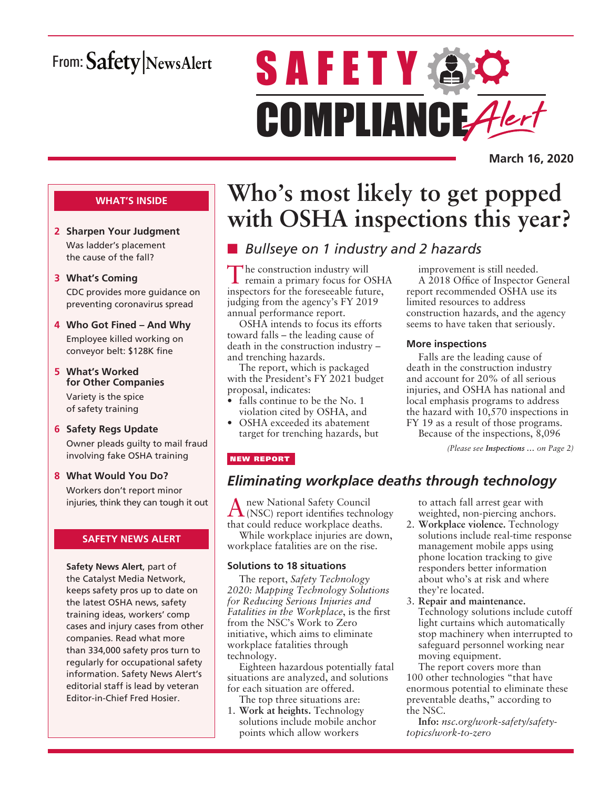# From: Safety NewsAlert

# **SAFETY & O** COMPLIANCE Alert

**March 16, 2020**

### **WHAT'S INSIDE**

- **2 Sharpen Your Judgment** Was ladder's placement the cause of the fall?
- **3 What's Coming** CDC provides more guidance on preventing coronavirus spread
- **4 Who Got Fined And Why** Employee killed working on conveyor belt: \$128K fine
- **5 What's Worked for Other Companies** Variety is the spice of safety training
- **6 Safety Regs Update** Owner pleads guilty to mail fraud involving fake OSHA training
- **8 What Would You Do?** Workers don't report minor injuries, think they can tough it out

### **SAFETY NEWS ALERT**

**Safety News Alert**, part of the Catalyst Media Network, keeps safety pros up to date on the latest OSHA news, safety training ideas, workers' comp cases and injury cases from other companies. Read what more than 334,000 safety pros turn to regularly for occupational safety information. Safety News Alert's editorial staff is lead by veteran Editor-in-Chief Fred Hosier.

# **Who's most likely to get popped with OSHA inspections this year?**

### n *Bullseye on 1 industry and 2 hazards*

The construction industry will remain a primary focus for OSHA inspectors for the foreseeable future, judging from the agency's FY 2019 annual performance report.

OSHA intends to focus its efforts toward falls – the leading cause of death in the construction industry – and trenching hazards.

The report, which is packaged with the President's FY 2021 budget proposal, indicates:

- falls continue to be the No. 1 violation cited by OSHA, and
- OSHA exceeded its abatement target for trenching hazards, but

improvement is still needed. A 2018 Office of Inspector General report recommended OSHA use its limited resources to address construction hazards, and the agency seems to have taken that seriously.

### **More inspections**

Falls are the leading cause of death in the construction industry and account for 20% of all serious injuries, and OSHA has national and local emphasis programs to address the hazard with 10,570 inspections in FY 19 as a result of those programs.

Because of the inspections, 8,096

*(Please see Inspections … on Page 2)*

### NEW REPORT

### *Eliminating workplace deaths through technology*

Anew National Safety Council (NSC) report identifies technology that could reduce workplace deaths.

While workplace injuries are down, workplace fatalities are on the rise.

### **Solutions to 18 situations**

The report, *Safety Technology 2020: Mapping Technology Solutions for Reducing Serious Injuries and Fatalities in the Workplace*, is the first from the NSC's Work to Zero initiative, which aims to eliminate workplace fatalities through technology.

Eighteen hazardous potentially fatal situations are analyzed, and solutions for each situation are offered.

The top three situations are: 1. **Work at heights.** Technology solutions include mobile anchor points which allow workers

to attach fall arrest gear with weighted, non-piercing anchors.

- 2. **Workplace violence.** Technology solutions include real-time response management mobile apps using phone location tracking to give responders better information about who's at risk and where they're located.
- 3. **Repair and maintenance.** Technology solutions include cutoff light curtains which automatically stop machinery when interrupted to safeguard personnel working near moving equipment.

The report covers more than 100 other technologies "that have enormous potential to eliminate these preventable deaths," according to the NSC.

**Info:** *nsc.org/work-safety/safetytopics/work-to-zero*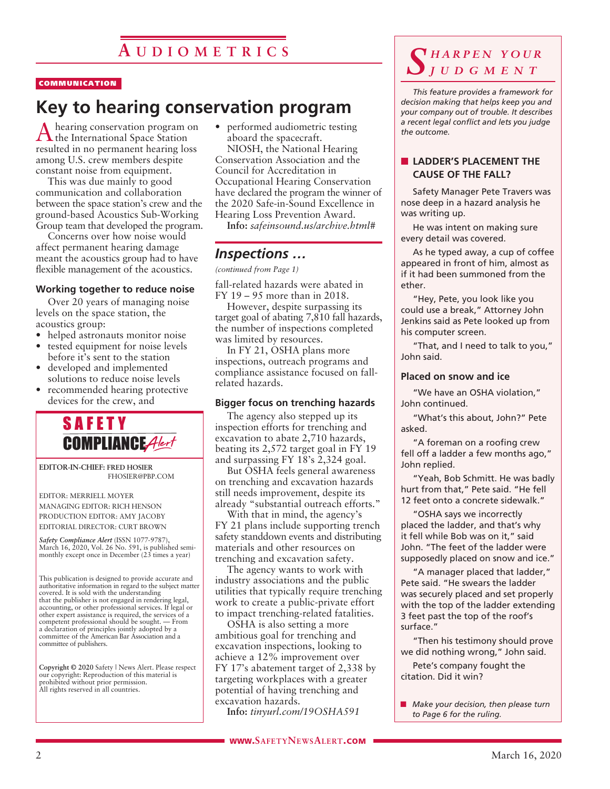### **COMMUNICATION**

# **Key to hearing conservation program**

hearing conservation program on  $\Gamma$  the International Space Station resulted in no permanent hearing loss among U.S. crew members despite constant noise from equipment.

This was due mainly to good communication and collaboration between the space station's crew and the ground-based Acoustics Sub-Working Group team that developed the program.

Concerns over how noise would affect permanent hearing damage meant the acoustics group had to have flexible management of the acoustics.

### **Working together to reduce noise**

Over 20 years of managing noise levels on the space station, the acoustics group:

- helped astronauts monitor noise
- tested equipment for noise levels before it's sent to the station
- developed and implemented solutions to reduce noise levels
- recommended hearing protective devices for the crew, and



**EDITOR-IN-CHIEF: FRED HOSIER** FHOSIER@PBP.COM

### EDITOR: MERRIELL MOYER MANAGING EDITOR: RICH HENSON PRODUCTION EDITOR: AMY JACOBY EDITORIAL DIRECTOR: CURT BROWN

*Safety Compliance Alert* (ISSN 1077-9787), March 16, 2020, Vol. 26 No. 591, is published semi-monthly except once in December (23 times a year)

This publication is designed to provide accurate and authoritative information in regard to the subject matter covered. It is sold with the understanding that the publisher is not engaged in rendering legal, accounting, or other professional services. If legal or other expert assistance is required, the services of a competent professional should be sought. — From a declaration of principles jointly adopted by a committee of the American Bar Association and a committee of publishers.

**Copyright © 2020** Safety | News Alert. Please respect our copyright: Reproduction of this material is prohibited without prior permission. All rights reserved in all countries.

• performed audiometric testing aboard the spacecraft.

NIOSH, the National Hearing Conservation Association and the Council for Accreditation in Occupational Hearing Conservation have declared the program the winner of the 2020 Safe-in-Sound Excellence in Hearing Loss Prevention Award.

**Info:** *safeinsound.us/archive.html#*

### *Inspections …*

*(continued from Page 1)*

fall-related hazards were abated in FY 19 – 95 more than in 2018.

However, despite surpassing its target goal of abating 7,810 fall hazards, the number of inspections completed was limited by resources.

In FY 21, OSHA plans more inspections, outreach programs and compliance assistance focused on fallrelated hazards.

### **Bigger focus on trenching hazards**

The agency also stepped up its inspection efforts for trenching and excavation to abate 2,710 hazards, beating its 2,572 target goal in FY 19 and surpassing FY 18's 2,324 goal.

But OSHA feels general awareness on trenching and excavation hazards still needs improvement, despite its already "substantial outreach efforts."

With that in mind, the agency's FY 21 plans include supporting trench safety standdown events and distributing materials and other resources on trenching and excavation safety.

The agency wants to work with industry associations and the public utilities that typically require trenching work to create a public-private effort to impact trenching-related fatalities.

OSHA is also setting a more ambitious goal for trenching and excavation inspections, looking to achieve a 12% improvement over FY 17's abatement target of 2,338 by targeting workplaces with a greater potential of having trenching and excavation hazards.

**Info:** *tinyurl.com/19OSHA591*

### *S h a r p e n y o u r j u d g m e n t*

*This feature provides a framework for decision making that helps keep you and your company out of trouble. It describes a recent legal conflict and lets you judge the outcome.*

### **N** LADDER'S PLACEMENT THE **CAUSE OF THE FALL?**

Safety Manager Pete Travers was nose deep in a hazard analysis he was writing up.

He was intent on making sure every detail was covered.

As he typed away, a cup of coffee appeared in front of him, almost as if it had been summoned from the ether.

"Hey, Pete, you look like you could use a break," Attorney John Jenkins said as Pete looked up from his computer screen.

"That, and I need to talk to you," John said.

### **Placed on snow and ice**

"We have an OSHA violation," John continued.

"What's this about, John?" Pete asked.

"A foreman on a roofing crew fell off a ladder a few months ago," John replied.

"Yeah, Bob Schmitt. He was badly hurt from that," Pete said. "He fell 12 feet onto a concrete sidewalk."

"OSHA says we incorrectly placed the ladder, and that's why it fell while Bob was on it," said John. "The feet of the ladder were supposedly placed on snow and ice."

"A manager placed that ladder," Pete said. "He swears the ladder was securely placed and set properly with the top of the ladder extending 3 feet past the top of the roof's surface."

"Then his testimony should prove we did nothing wrong," John said. Pete's company fought the

citation. Did it win?

**n** *Make your decision, then please turn to Page 6 for the ruling.*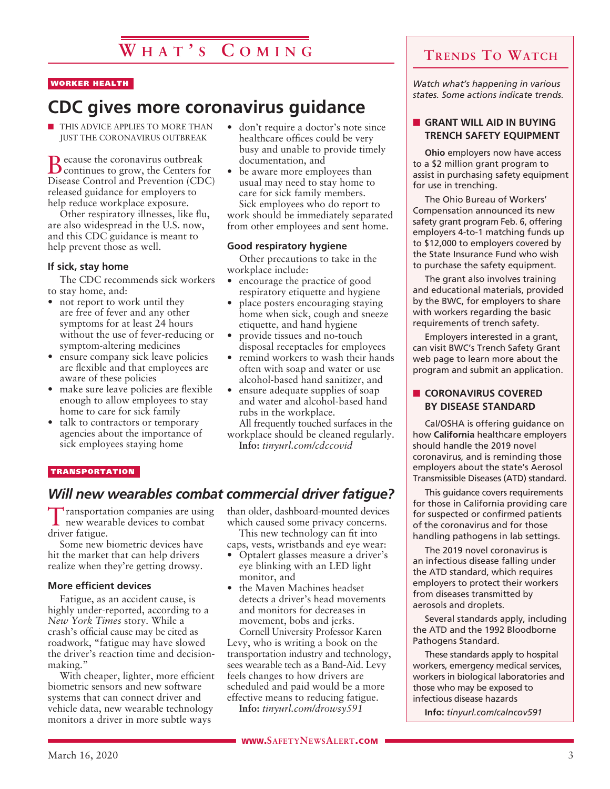# **W h a t ' s C o m i n g**

### WORKER HEALTH

# **CDC gives more coronavirus guidance**

**n** THIS ADVICE APPLIES TO MORE THAN JUST THE CORONAVIRUS OUTBREAK

Because the coronavirus outbreak continues to grow, the Centers for Disease Control and Prevention (CDC) released guidance for employers to help reduce workplace exposure.

Other respiratory illnesses, like flu, are also widespread in the U.S. now, and this CDC guidance is meant to help prevent those as well.

### **If sick, stay home**

The CDC recommends sick workers to stay home, and:

- not report to work until they are free of fever and any other symptoms for at least 24 hours without the use of fever-reducing or symptom-altering medicines
- ensure company sick leave policies are flexible and that employees are aware of these policies
- make sure leave policies are flexible enough to allow employees to stay home to care for sick family
- talk to contractors or temporary agencies about the importance of sick employees staying home
- don't require a doctor's note since healthcare offices could be very busy and unable to provide timely documentation, and
- be aware more employees than usual may need to stay home to care for sick family members. Sick employees who do report to work should be immediately separated from other employees and sent home.

### **Good respiratory hygiene**

Other precautions to take in the workplace include:

- encourage the practice of good respiratory etiquette and hygiene
- place posters encouraging staying home when sick, cough and sneeze etiquette, and hand hygiene
- provide tissues and no-touch disposal receptacles for employees
- remind workers to wash their hands often with soap and water or use alcohol-based hand sanitizer, and
- ensure adequate supplies of soap and water and alcohol-based hand rubs in the workplace.
- All frequently touched surfaces in the workplace should be cleaned regularly. **Info:** *tinyurl.com/cdccovid*

#### TRANSPORTATION

### *Will new wearables combat commercial driver fatigue?*

Transportation companies are using new wearable devices to combat driver fatigue.

Some new biometric devices have hit the market that can help drivers realize when they're getting drowsy.

### **More efficient devices**

Fatigue, as an accident cause, is highly under-reported, according to a *New York Times* story. While a crash's official cause may be cited as roadwork, "fatigue may have slowed the driver's reaction time and decisionmaking."

With cheaper, lighter, more efficient biometric sensors and new software systems that can connect driver and vehicle data, new wearable technology monitors a driver in more subtle ways

than older, dashboard-mounted devices which caused some privacy concerns. This new technology can fit into

caps, vests, wristbands and eye wear:

- Optalert glasses measure a driver's eye blinking with an LED light monitor, and
- the Maven Machines headset detects a driver's head movements and monitors for decreases in movement, bobs and jerks.

Cornell University Professor Karen Levy, who is writing a book on the transportation industry and technology, sees wearable tech as a Band-Aid. Levy feels changes to how drivers are scheduled and paid would be a more effective means to reducing fatigue.

**Info:** *tinyurl.com/drowsy591*

*Watch what's happening in various states. Some actions indicate trends.*

### **n** GRANT WILL AID IN BUYING **TRENCH SAFETY EQUIPMENT**

**Ohio** employers now have access to a \$2 million grant program to assist in purchasing safety equipment for use in trenching.

The Ohio Bureau of Workers' Compensation announced its new safety grant program Feb. 6, offering employers 4-to-1 matching funds up to \$12,000 to employers covered by the State Insurance Fund who wish to purchase the safety equipment.

The grant also involves training and educational materials, provided by the BWC, for employers to share with workers regarding the basic requirements of trench safety.

Employers interested in a grant, can visit BWC's Trench Safety Grant web page to learn more about the program and submit an application.

### **n** CORONAVIRUS COVERED **BY DISEASE STANDARD**

Cal/OSHA is offering guidance on how **California** healthcare employers should handle the 2019 novel coronavirus, and is reminding those employers about the state's Aerosol Transmissible Diseases (ATD) standard.

This guidance covers requirements for those in California providing care for suspected or confirmed patients of the coronavirus and for those handling pathogens in lab settings.

The 2019 novel coronavirus is an infectious disease falling under the ATD standard, which requires employers to protect their workers from diseases transmitted by aerosols and droplets.

Several standards apply, including the ATD and the 1992 Bloodborne Pathogens Standard.

These standards apply to hospital workers, emergency medical services, workers in biological laboratories and those who may be exposed to infectious disease hazards

**Info:** *tinyurl.com/calncov591*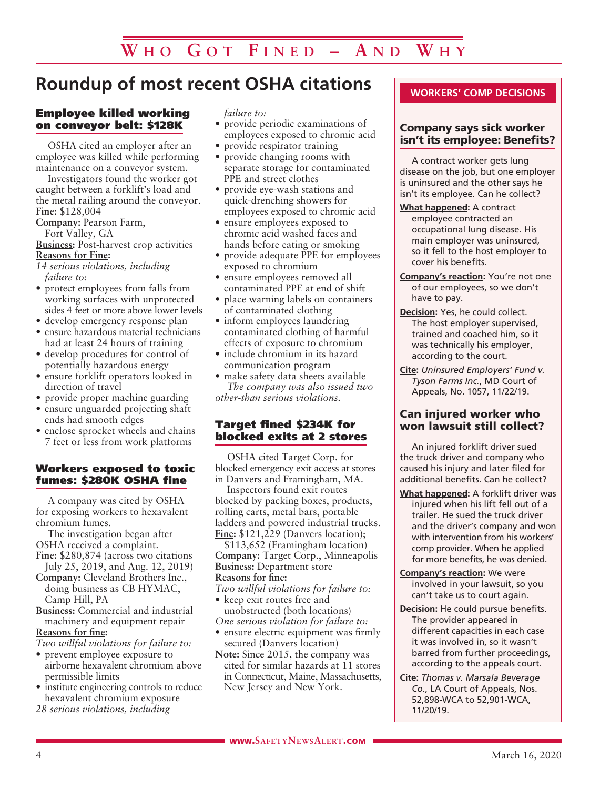# **Roundup of most recent OSHA citations**

### Employee killed working on conveyor belt: \$128K

OSHA cited an employer after an employee was killed while performing maintenance on a conveyor system.

Investigators found the worker got caught between a forklift's load and the metal railing around the conveyor. **Fine:** \$128,004

**Company:** Pearson Farm,

Fort Valley, GA

**Business:** Post-harvest crop activities **Reasons for Fine:**

*14 serious violations, including failure to:*

- protect employees from falls from working surfaces with unprotected sides 4 feet or more above lower levels
- develop emergency response plan
- ensure hazardous material technicians had at least 24 hours of training
- develop procedures for control of potentially hazardous energy
- ensure forklift operators looked in direction of travel
- provide proper machine guarding
- ensure unguarded projecting shaft ends had smooth edges
- enclose sprocket wheels and chains 7 feet or less from work platforms

### Workers exposed to toxic fumes: \$280K OSHA fine

A company was cited by OSHA for exposing workers to hexavalent chromium fumes.

The investigation began after OSHA received a complaint.

**Fine:** \$280,874 (across two citations July 25, 2019, and Aug. 12, 2019)

- **Company:** Cleveland Brothers Inc., doing business as CB HYMAC, Camp Hill, PA
- **Business:** Commercial and industrial machinery and equipment repair **Reasons for fine:**

*Two willful violations for failure to:*

- prevent employee exposure to airborne hexavalent chromium above permissible limits
- institute engineering controls to reduce hexavalent chromium exposure
- *28 serious violations, including*

*failure to:*

- provide periodic examinations of employees exposed to chromic acid
- provide respirator training
- provide changing rooms with separate storage for contaminated PPE and street clothes
- provide eye-wash stations and quick-drenching showers for employees exposed to chromic acid
- ensure employees exposed to chromic acid washed faces and hands before eating or smoking
- provide adequate PPE for employees exposed to chromium
- ensure employees removed all contaminated PPE at end of shift
- place warning labels on containers of contaminated clothing
- inform employees laundering contaminated clothing of harmful effects of exposure to chromium
- include chromium in its hazard communication program
- make safety data sheets available *The company was also issued two other-than serious violations.*

### Target fined \$234K for blocked exits at 2 stores

OSHA cited Target Corp. for blocked emergency exit access at stores in Danvers and Framingham, MA.

Inspectors found exit routes blocked by packing boxes, products, rolling carts, metal bars, portable ladders and powered industrial trucks. **Fine:** \$121,229 (Danvers location);

\$113,652 (Framingham location) **Company:** Target Corp., Minneapolis **Business:** Department store **Reasons for fine:**

*Two willful violations for failure to:*

- keep exit routes free and unobstructed (both locations) *One serious violation for failure to:*
- ensure electric equipment was firmly secured (Danvers location)
- **Note:** Since 2015, the company was cited for similar hazards at 11 stores in Connecticut, Maine, Massachusetts, New Jersey and New York.

### **WORKERS' COMP DECISIONS**

### Company says sick worker isn't its employee: Benefits?

A contract worker gets lung disease on the job, but one employer is uninsured and the other says he isn't its employee. Can he collect?

- **What happened:** A contract employee contracted an occupational lung disease. His main employer was uninsured, so it fell to the host employer to cover his benefits.
- **Company's reaction:** You're not one of our employees, so we don't have to pay.
- **Decision:** Yes, he could collect. The host employer supervised, trained and coached him, so it was technically his employer, according to the court.
- **Cite:** *Uninsured Employers' Fund v. Tyson Farms Inc.*, MD Court of Appeals, No. 1057, 11/22/19.

### Can injured worker who won lawsuit still collect?

An injured forklift driver sued the truck driver and company who caused his injury and later filed for additional benefits. Can he collect?

- **What happened:** A forklift driver was injured when his lift fell out of a trailer. He sued the truck driver and the driver's company and won with intervention from his workers' comp provider. When he applied for more benefits, he was denied.
- **Company's reaction:** We were involved in your lawsuit, so you can't take us to court again.
- **Decision:** He could pursue benefits. The provider appeared in different capacities in each case it was involved in, so it wasn't barred from further proceedings, according to the appeals court.
- **Cite:** *Thomas v. Marsala Beverage Co.*, LA Court of Appeals, Nos. 52,898-WCA to 52,901-WCA, 11/20/19.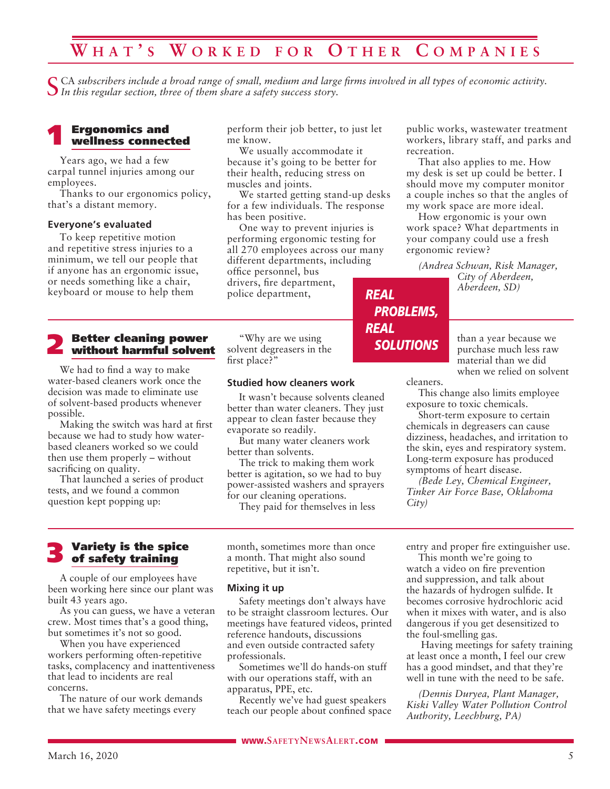# **W h a t ' s W o r k e d f o r O t h e r C o m p an i e s**

CA subscribers include a broad range of small, medium and large firms involved in all types of economic activity. *In this regular section, three of them share a safety success story.*

# **1 Ergonomics and<br>
wellness connected**

Years ago, we had a few carpal tunnel injuries among our employees.

Thanks to our ergonomics policy, that's a distant memory.

#### **Everyone's evaluated**

To keep repetitive motion and repetitive stress injuries to a minimum, we tell our people that if anyone has an ergonomic issue, or needs something like a chair, keyboard or mouse to help them

# **2** Better cleaning power<br>without harmful solvent

We had to find a way to make water-based cleaners work once the decision was made to eliminate use of solvent-based products whenever possible.

Making the switch was hard at first because we had to study how waterbased cleaners worked so we could then use them properly – without sacrificing on quality.

That launched a series of product tests, and we found a common question kept popping up:

perform their job better, to just let me know.

We usually accommodate it because it's going to be better for their health, reducing stress on muscles and joints.

We started getting stand-up desks for a few individuals. The response has been positive.

One way to prevent injuries is performing ergonomic testing for all 270 employees across our many different departments, including office personnel, bus drivers, fire department, police department, *REAL*

"Why are we using solvent degreasers in the first place?"

### **Studied how cleaners work**

It wasn't because solvents cleaned better than water cleaners. They just appear to clean faster because they evaporate so readily.

But many water cleaners work better than solvents.

The trick to making them work better is agitation, so we had to buy power-assisted washers and sprayers for our cleaning operations.

They paid for themselves in less

public works, wastewater treatment workers, library staff, and parks and recreation.

That also applies to me. How my desk is set up could be better. I should move my computer monitor a couple inches so that the angles of my work space are more ideal.

How ergonomic is your own work space? What departments in your company could use a fresh ergonomic review?

*(Andrea Schwan, Risk Manager, City of Aberdeen, Aberdeen, SD)*

> than a year because we purchase much less raw material than we did when we relied on solvent

cleaners.

*PROBLEMS,*

*SOLUTIONS*

*REAL*

This change also limits employee exposure to toxic chemicals.

Short-term exposure to certain chemicals in degreasers can cause dizziness, headaches, and irritation to the skin, eyes and respiratory system. Long-term exposure has produced symptoms of heart disease.

*(Bede Ley, Chemical Engineer, Tinker Air Force Base, Oklahoma City)*

### 3 Variety is the spice of safety training

A couple of our employees have been working here since our plant was built 43 years ago.

As you can guess, we have a veteran crew. Most times that's a good thing, but sometimes it's not so good.

When you have experienced workers performing often-repetitive tasks, complacency and inattentiveness that lead to incidents are real concerns.

The nature of our work demands that we have safety meetings every

month, sometimes more than once a month. That might also sound repetitive, but it isn't.

### **Mixing it up**

Safety meetings don't always have to be straight classroom lectures. Our meetings have featured videos, printed reference handouts, discussions and even outside contracted safety professionals.

Sometimes we'll do hands-on stuff with our operations staff, with an apparatus, PPE, etc.

Recently we've had guest speakers teach our people about confined space entry and proper fire extinguisher use. This month we're going to

watch a video on fire prevention and suppression, and talk about the hazards of hydrogen sulfide. It becomes corrosive hydrochloric acid when it mixes with water, and is also dangerous if you get desensitized to the foul-smelling gas.

 Having meetings for safety training at least once a month, I feel our crew has a good mindset, and that they're well in tune with the need to be safe.

*(Dennis Duryea, Plant Manager, Kiski Valley Water Pollution Control Authority, Leechburg, PA)*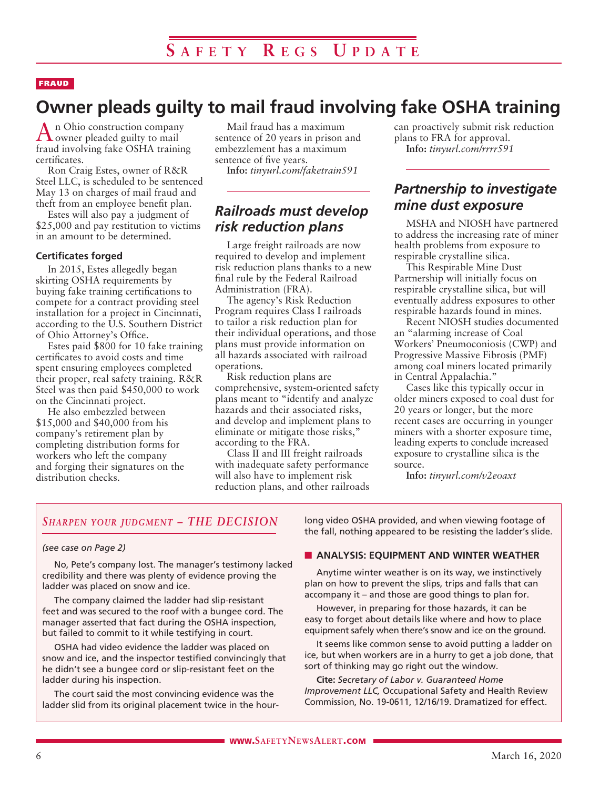### FRAUD

# **Owner pleads guilty to mail fraud involving fake OSHA training**

An Ohio construction company owner pleaded guilty to mail fraud involving fake OSHA training certificates.

Ron Craig Estes, owner of R&R Steel LLC, is scheduled to be sentenced May 13 on charges of mail fraud and theft from an employee benefit plan.

Estes will also pay a judgment of \$25,000 and pay restitution to victims in an amount to be determined.

### **Certificates forged**

In 2015, Estes allegedly began skirting OSHA requirements by buying fake training certifications to compete for a contract providing steel installation for a project in Cincinnati, according to the U.S. Southern District of Ohio Attorney's Office.

Estes paid \$800 for 10 fake training certificates to avoid costs and time spent ensuring employees completed their proper, real safety training. R&R Steel was then paid \$450,000 to work on the Cincinnati project.

He also embezzled between \$15,000 and \$40,000 from his company's retirement plan by completing distribution forms for workers who left the company and forging their signatures on the distribution checks.

Mail fraud has a maximum sentence of 20 years in prison and embezzlement has a maximum sentence of five years.

**Info:** *tinyurl.com/faketrain591*

### *Railroads must develop risk reduction plans*

Large freight railroads are now required to develop and implement risk reduction plans thanks to a new final rule by the Federal Railroad Administration (FRA).

The agency's Risk Reduction Program requires Class I railroads to tailor a risk reduction plan for their individual operations, and those plans must provide information on all hazards associated with railroad operations.

Risk reduction plans are comprehensive, system-oriented safety plans meant to "identify and analyze hazards and their associated risks, and develop and implement plans to eliminate or mitigate those risks," according to the FRA.

Class II and III freight railroads with inadequate safety performance will also have to implement risk reduction plans, and other railroads can proactively submit risk reduction plans to FRA for approval. **Info:** *tinyurl.com/rrrr591*

### *Partnership to investigate mine dust exposure*

MSHA and NIOSH have partnered to address the increasing rate of miner health problems from exposure to respirable crystalline silica.

This Respirable Mine Dust Partnership will initially focus on respirable crystalline silica, but will eventually address exposures to other respirable hazards found in mines.

Recent NIOSH studies documented an "alarming increase of Coal Workers' Pneumoconiosis (CWP) and Progressive Massive Fibrosis (PMF) among coal miners located primarily in Central Appalachia."

Cases like this typically occur in older miners exposed to coal dust for 20 years or longer, but the more recent cases are occurring in younger miners with a shorter exposure time, leading experts to conclude increased exposure to crystalline silica is the source.

**Info:** *tinyurl.com/v2eoaxt*

### *Sharpen your judgment – THE DECISION*

### *(see case on Page 2)*

No, Pete's company lost. The manager's testimony lacked credibility and there was plenty of evidence proving the ladder was placed on snow and ice.

The company claimed the ladder had slip-resistant feet and was secured to the roof with a bungee cord. The manager asserted that fact during the OSHA inspection, but failed to commit to it while testifying in court.

OSHA had video evidence the ladder was placed on snow and ice, and the inspector testified convincingly that he didn't see a bungee cord or slip-resistant feet on the ladder during his inspection.

The court said the most convincing evidence was the ladder slid from its original placement twice in the hourlong video OSHA provided, and when viewing footage of the fall, nothing appeared to be resisting the ladder's slide.

### **N** ANALYSIS: EQUIPMENT AND WINTER WEATHER

Anytime winter weather is on its way, we instinctively plan on how to prevent the slips, trips and falls that can accompany it – and those are good things to plan for.

However, in preparing for those hazards, it can be easy to forget about details like where and how to place equipment safely when there's snow and ice on the ground.

It seems like common sense to avoid putting a ladder on ice, but when workers are in a hurry to get a job done, that sort of thinking may go right out the window.

**Cite:** *Secretary of Labor v. Guaranteed Home Improvement LLC,* Occupational Safety and Health Review Commission, No. 19-0611, 12/16/19. Dramatized for effect.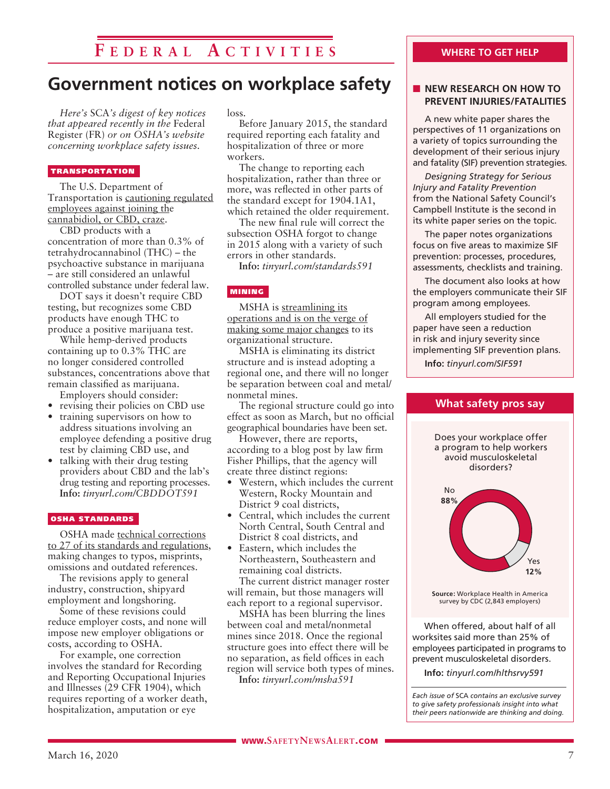# **F e d e r a l A c t i v i t i e s**

### **Government notices on workplace safety**

*Here's* SCA*'s digest of key notices that appeared recently in the* Federal Register (FR) *or on OSHA's website concerning workplace safety issues.* 

### TRANSPORTATION

The U.S. Department of Transportation is cautioning regulated employees against joining the cannabidiol, or CBD, craze.

CBD products with a concentration of more than 0.3% of tetrahydrocannabinol (THC) – the psychoactive substance in marijuana – are still considered an unlawful controlled substance under federal law.

DOT says it doesn't require CBD testing, but recognizes some CBD products have enough THC to produce a positive marijuana test.

While hemp-derived products containing up to 0.3% THC are no longer considered controlled substances, concentrations above that remain classified as marijuana. Employers should consider:

- 
- revising their policies on CBD use<br>• training supervisors on how to • training supervisors on how to address situations involving an employee defending a positive drug test by claiming CBD use, and
- talking with their drug testing providers about CBD and the lab's drug testing and reporting processes. **Info:** *tinyurl.com/CBDDOT591*

### OSHA STANDARDS

OSHA made technical corrections to 27 of its standards and regulations, making changes to typos, misprints, omissions and outdated references.

The revisions apply to general industry, construction, shipyard employment and longshoring.

Some of these revisions could reduce employer costs, and none will impose new employer obligations or costs, according to OSHA.

For example, one correction involves the standard for Recording and Reporting Occupational Injuries and Illnesses (29 CFR 1904), which requires reporting of a worker death, hospitalization, amputation or eye

loss.

Before January 2015, the standard required reporting each fatality and hospitalization of three or more workers.

The change to reporting each hospitalization, rather than three or more, was reflected in other parts of the standard except for 1904.1A1, which retained the older requirement.

The new final rule will correct the subsection OSHA forgot to change in 2015 along with a variety of such errors in other standards.

**Info:** *tinyurl.com/standards591*

### MINING

MSHA is streamlining its operations and is on the verge of making some major changes to its organizational structure.

MSHA is eliminating its district structure and is instead adopting a regional one, and there will no longer be separation between coal and metal/ nonmetal mines.

The regional structure could go into effect as soon as March, but no official geographical boundaries have been set.

However, there are reports, according to a blog post by law firm Fisher Phillips, that the agency will create three distinct regions:

- Western, which includes the current Western, Rocky Mountain and District 9 coal districts,
- Central, which includes the current North Central, South Central and District 8 coal districts, and
- Eastern, which includes the Northeastern, Southeastern and remaining coal districts.

The current district manager roster will remain, but those managers will each report to a regional supervisor.

MSHA has been blurring the lines between coal and metal/nonmetal mines since 2018. Once the regional structure goes into effect there will be no separation, as field offices in each region will service both types of mines.

**Info:** *tinyurl.com/msha591*

### **WHERE TO GET HELP**

### **NEW RESEARCH ON HOW TO PREVENT INJURIES/FATALITIES**

A new white paper shares the perspectives of 11 organizations on a variety of topics surrounding the development of their serious injury and fatality (SIF) prevention strategies.

*Designing Strategy for Serious Injury and Fatality Prevention*  from the National Safety Council's Campbell Institute is the second in its white paper series on the topic.

The paper notes organizations focus on five areas to maximize SIF prevention: processes, procedures, assessments, checklists and training.

The document also looks at how the employers communicate their SIF program among employees.

All employers studied for the paper have seen a reduction in risk and injury severity since implementing SIF prevention plans.

**Info:** *tinyurl.com/SIF591*



**Info:** *tinyurl.com/hlthsrvy591*

*Each issue of* SCA *contains an exclusive survey to give safety professionals insight into what their peers nationwide are thinking and doing.*